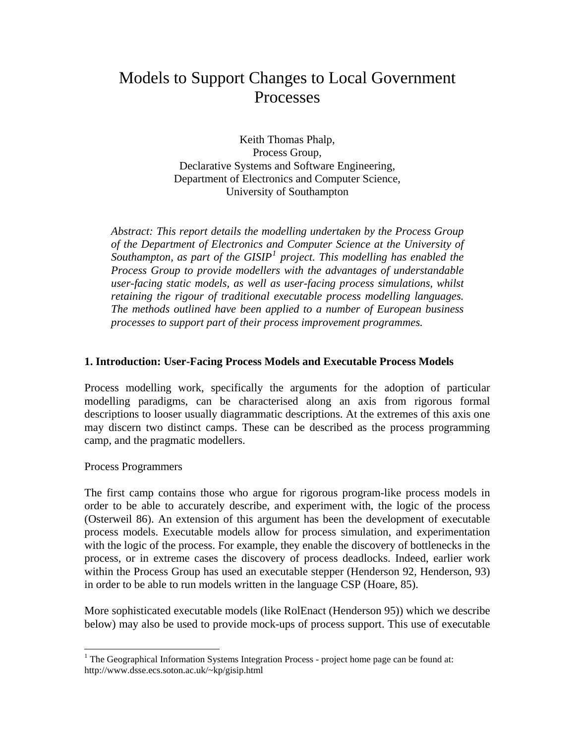# Models to Support Changes to Local Government Processes

Keith Thomas Phalp, Process Group, Declarative Systems and Software Engineering, Department of Electronics and Computer Science, University of Southampton

*Abstract: This report details the modelling undertaken by the Process Group of the Department of Electronics and Computer Science at the University of*  Southampton, as part of the GISIP<sup>[1](#page-0-0)</sup> project. This modelling has enabled the *Process Group to provide modellers with the advantages of understandable user-facing static models, as well as user-facing process simulations, whilst retaining the rigour of traditional executable process modelling languages. The methods outlined have been applied to a number of European business processes to support part of their process improvement programmes.* 

## **1. Introduction: User-Facing Process Models and Executable Process Models**

Process modelling work, specifically the arguments for the adoption of particular modelling paradigms, can be characterised along an axis from rigorous formal descriptions to looser usually diagrammatic descriptions. At the extremes of this axis one may discern two distinct camps. These can be described as the process programming camp, and the pragmatic modellers.

Process Programmers

The first camp contains those who argue for rigorous program-like process models in order to be able to accurately describe, and experiment with, the logic of the process (Osterweil 86). An extension of this argument has been the development of executable process models. Executable models allow for process simulation, and experimentation with the logic of the process. For example, they enable the discovery of bottlenecks in the process, or in extreme cases the discovery of process deadlocks. Indeed, earlier work within the Process Group has used an executable stepper (Henderson 92, Henderson, 93) in order to be able to run models written in the language CSP (Hoare, 85).

More sophisticated executable models (like RolEnact (Henderson 95)) which we describe below) may also be used to provide mock-ups of process support. This use of executable

<span id="page-0-0"></span><sup>&</sup>lt;sup>1</sup> The Geographical Information Systems Integration Process - project home page can be found at: http://www.dsse.ecs.soton.ac.uk/~kp/gisip.html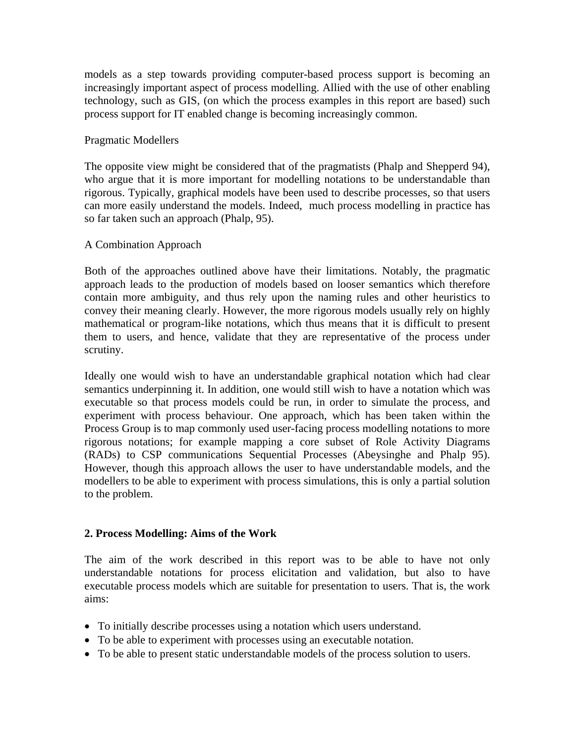models as a step towards providing computer-based process support is becoming an increasingly important aspect of process modelling. Allied with the use of other enabling technology, such as GIS, (on which the process examples in this report are based) such process support for IT enabled change is becoming increasingly common.

#### Pragmatic Modellers

The opposite view might be considered that of the pragmatists (Phalp and Shepperd 94), who argue that it is more important for modelling notations to be understandable than rigorous. Typically, graphical models have been used to describe processes, so that users can more easily understand the models. Indeed, much process modelling in practice has so far taken such an approach (Phalp, 95).

#### A Combination Approach

Both of the approaches outlined above have their limitations. Notably, the pragmatic approach leads to the production of models based on looser semantics which therefore contain more ambiguity, and thus rely upon the naming rules and other heuristics to convey their meaning clearly. However, the more rigorous models usually rely on highly mathematical or program-like notations, which thus means that it is difficult to present them to users, and hence, validate that they are representative of the process under scrutiny.

Ideally one would wish to have an understandable graphical notation which had clear semantics underpinning it. In addition, one would still wish to have a notation which was executable so that process models could be run, in order to simulate the process, and experiment with process behaviour. One approach, which has been taken within the Process Group is to map commonly used user-facing process modelling notations to more rigorous notations; for example mapping a core subset of Role Activity Diagrams (RADs) to CSP communications Sequential Processes (Abeysinghe and Phalp 95). However, though this approach allows the user to have understandable models, and the modellers to be able to experiment with process simulations, this is only a partial solution to the problem.

## **2. Process Modelling: Aims of the Work**

The aim of the work described in this report was to be able to have not only understandable notations for process elicitation and validation, but also to have executable process models which are suitable for presentation to users. That is, the work aims:

- To initially describe processes using a notation which users understand.
- To be able to experiment with processes using an executable notation.
- To be able to present static understandable models of the process solution to users.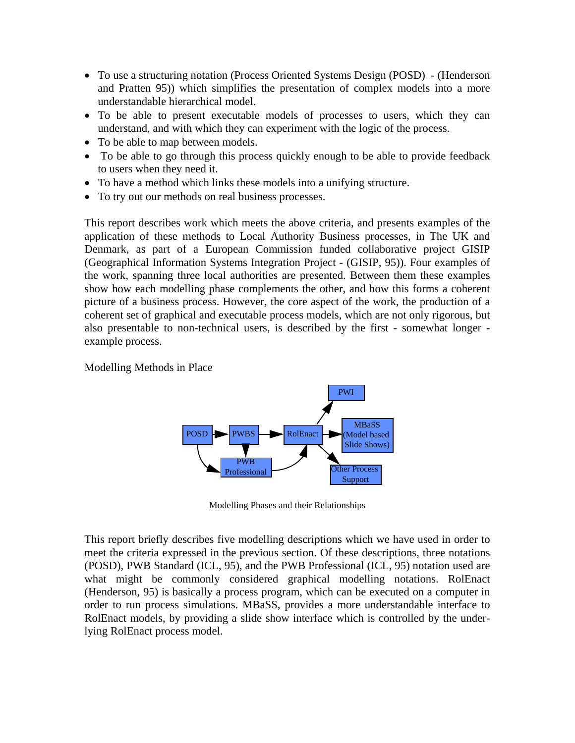- To use a structuring notation (Process Oriented Systems Design (POSD) (Henderson and Pratten 95)) which simplifies the presentation of complex models into a more understandable hierarchical model.
- To be able to present executable models of processes to users, which they can understand, and with which they can experiment with the logic of the process.
- To be able to map between models.
- To be able to go through this process quickly enough to be able to provide feedback to users when they need it.
- To have a method which links these models into a unifying structure.
- To try out our methods on real business processes.

This report describes work which meets the above criteria, and presents examples of the application of these methods to Local Authority Business processes, in The UK and Denmark, as part of a European Commission funded collaborative project GISIP (Geographical Information Systems Integration Project - (GISIP, 95)). Four examples of the work, spanning three local authorities are presented. Between them these examples show how each modelling phase complements the other, and how this forms a coherent picture of a business process. However, the core aspect of the work, the production of a coherent set of graphical and executable process models, which are not only rigorous, but also presentable to non-technical users, is described by the first - somewhat longer example process.

Modelling Methods in Place



Modelling Phases and their Relationships

This report briefly describes five modelling descriptions which we have used in order to meet the criteria expressed in the previous section. Of these descriptions, three notations (POSD), PWB Standard (ICL, 95), and the PWB Professional (ICL, 95) notation used are what might be commonly considered graphical modelling notations. RolEnact (Henderson, 95) is basically a process program, which can be executed on a computer in order to run process simulations. MBaSS, provides a more understandable interface to RolEnact models, by providing a slide show interface which is controlled by the underlying RolEnact process model.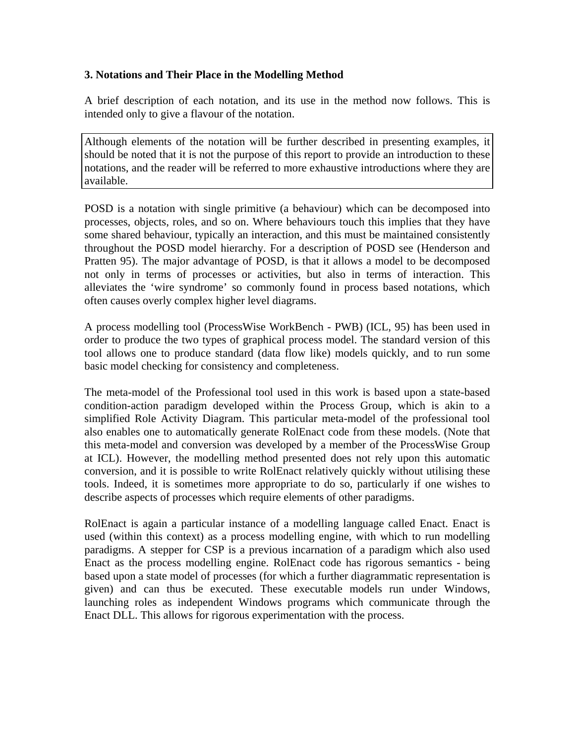# **3. Notations and Their Place in the Modelling Method**

A brief description of each notation, and its use in the method now follows. This is intended only to give a flavour of the notation.

Although elements of the notation will be further described in presenting examples, it should be noted that it is not the purpose of this report to provide an introduction to these notations, and the reader will be referred to more exhaustive introductions where they are available.

POSD is a notation with single primitive (a behaviour) which can be decomposed into processes, objects, roles, and so on. Where behaviours touch this implies that they have some shared behaviour, typically an interaction, and this must be maintained consistently throughout the POSD model hierarchy. For a description of POSD see (Henderson and Pratten 95). The major advantage of POSD, is that it allows a model to be decomposed not only in terms of processes or activities, but also in terms of interaction. This alleviates the 'wire syndrome' so commonly found in process based notations, which often causes overly complex higher level diagrams.

A process modelling tool (ProcessWise WorkBench - PWB) (ICL, 95) has been used in order to produce the two types of graphical process model. The standard version of this tool allows one to produce standard (data flow like) models quickly, and to run some basic model checking for consistency and completeness.

The meta-model of the Professional tool used in this work is based upon a state-based condition-action paradigm developed within the Process Group, which is akin to a simplified Role Activity Diagram. This particular meta-model of the professional tool also enables one to automatically generate RolEnact code from these models. (Note that this meta-model and conversion was developed by a member of the ProcessWise Group at ICL). However, the modelling method presented does not rely upon this automatic conversion, and it is possible to write RolEnact relatively quickly without utilising these tools. Indeed, it is sometimes more appropriate to do so, particularly if one wishes to describe aspects of processes which require elements of other paradigms.

RolEnact is again a particular instance of a modelling language called Enact. Enact is used (within this context) as a process modelling engine, with which to run modelling paradigms. A stepper for CSP is a previous incarnation of a paradigm which also used Enact as the process modelling engine. RolEnact code has rigorous semantics - being based upon a state model of processes (for which a further diagrammatic representation is given) and can thus be executed. These executable models run under Windows, launching roles as independent Windows programs which communicate through the Enact DLL. This allows for rigorous experimentation with the process.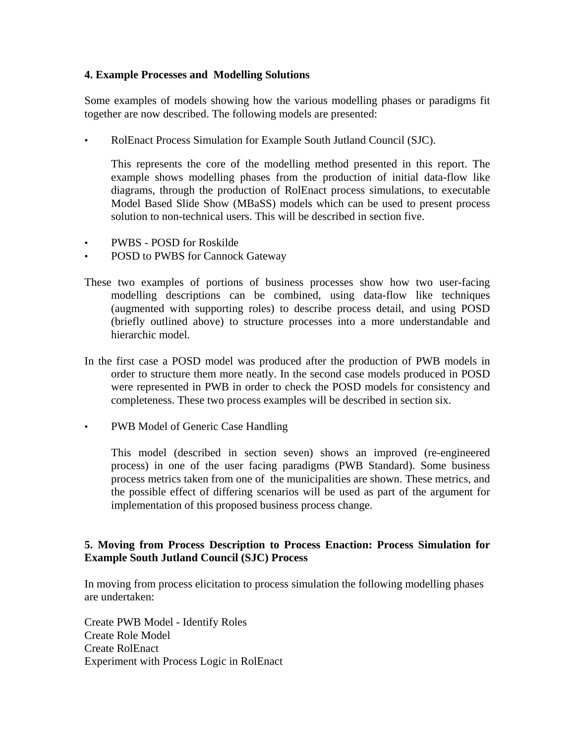# **4. Example Processes and Modelling Solutions**

Some examples of models showing how the various modelling phases or paradigms fit together are now described. The following models are presented:

• RolEnact Process Simulation for Example South Jutland Council (SJC).

 This represents the core of the modelling method presented in this report. The example shows modelling phases from the production of initial data-flow like diagrams, through the production of RolEnact process simulations, to executable Model Based Slide Show (MBaSS) models which can be used to present process solution to non-technical users. This will be described in section five.

- PWBS POSD for Roskilde
- POSD to PWBS for Cannock Gateway
- These two examples of portions of business processes show how two user-facing modelling descriptions can be combined, using data-flow like techniques (augmented with supporting roles) to describe process detail, and using POSD (briefly outlined above) to structure processes into a more understandable and hierarchic model.
- In the first case a POSD model was produced after the production of PWB models in order to structure them more neatly. In the second case models produced in POSD were represented in PWB in order to check the POSD models for consistency and completeness. These two process examples will be described in section six.
- PWB Model of Generic Case Handling

 This model (described in section seven) shows an improved (re-engineered process) in one of the user facing paradigms (PWB Standard). Some business process metrics taken from one of the municipalities are shown. These metrics, and the possible effect of differing scenarios will be used as part of the argument for implementation of this proposed business process change.

# **5. Moving from Process Description to Process Enaction: Process Simulation for Example South Jutland Council (SJC) Process**

In moving from process elicitation to process simulation the following modelling phases are undertaken:

Create PWB Model - Identify Roles Create Role Model Create RolEnact Experiment with Process Logic in RolEnact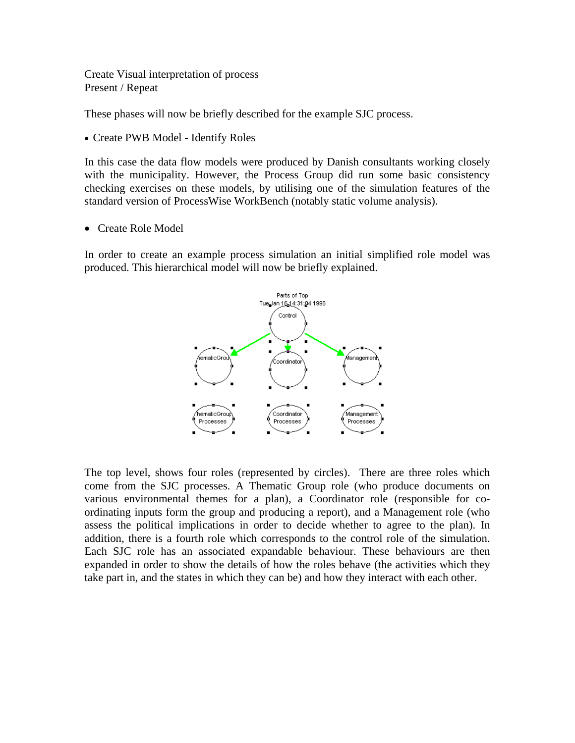Create Visual interpretation of process Present / Repeat

These phases will now be briefly described for the example SJC process.

Create PWB Model - Identify Roles

In this case the data flow models were produced by Danish consultants working closely with the municipality. However, the Process Group did run some basic consistency checking exercises on these models, by utilising one of the simulation features of the standard version of ProcessWise WorkBench (notably static volume analysis).

Create Role Model

In order to create an example process simulation an initial simplified role model was produced. This hierarchical model will now be briefly explained.



The top level, shows four roles (represented by circles). There are three roles which come from the SJC processes. A Thematic Group role (who produce documents on various environmental themes for a plan), a Coordinator role (responsible for coordinating inputs form the group and producing a report), and a Management role (who assess the political implications in order to decide whether to agree to the plan). In addition, there is a fourth role which corresponds to the control role of the simulation. Each SJC role has an associated expandable behaviour. These behaviours are then expanded in order to show the details of how the roles behave (the activities which they take part in, and the states in which they can be) and how they interact with each other.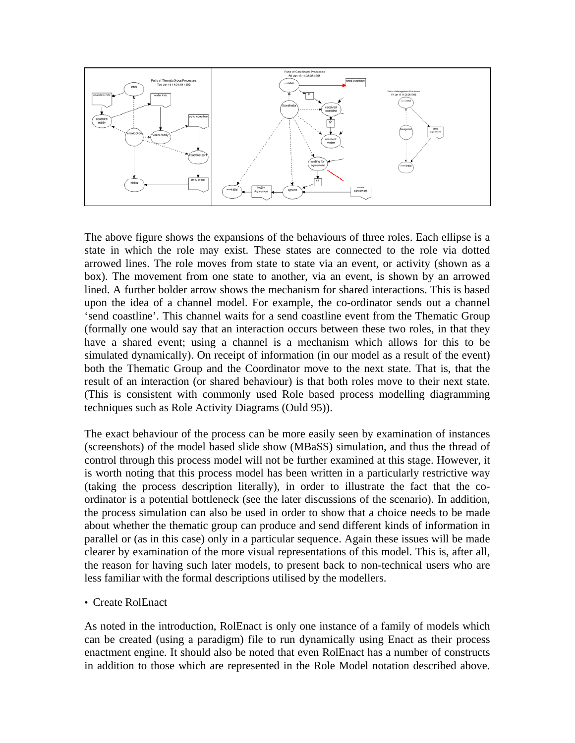

The above figure shows the expansions of the behaviours of three roles. Each ellipse is a state in which the role may exist. These states are connected to the role via dotted arrowed lines. The role moves from state to state via an event, or activity (shown as a box). The movement from one state to another, via an event, is shown by an arrowed lined. A further bolder arrow shows the mechanism for shared interactions. This is based upon the idea of a channel model. For example, the co-ordinator sends out a channel 'send coastline'. This channel waits for a send coastline event from the Thematic Group (formally one would say that an interaction occurs between these two roles, in that they have a shared event; using a channel is a mechanism which allows for this to be simulated dynamically). On receipt of information (in our model as a result of the event) both the Thematic Group and the Coordinator move to the next state. That is, that the result of an interaction (or shared behaviour) is that both roles move to their next state. (This is consistent with commonly used Role based process modelling diagramming techniques such as Role Activity Diagrams (Ould 95)).

The exact behaviour of the process can be more easily seen by examination of instances (screenshots) of the model based slide show (MBaSS) simulation, and thus the thread of control through this process model will not be further examined at this stage. However, it is worth noting that this process model has been written in a particularly restrictive way (taking the process description literally), in order to illustrate the fact that the coordinator is a potential bottleneck (see the later discussions of the scenario). In addition, the process simulation can also be used in order to show that a choice needs to be made about whether the thematic group can produce and send different kinds of information in parallel or (as in this case) only in a particular sequence. Again these issues will be made clearer by examination of the more visual representations of this model. This is, after all, the reason for having such later models, to present back to non-technical users who are less familiar with the formal descriptions utilised by the modellers.

#### • Create RolEnact

As noted in the introduction, RolEnact is only one instance of a family of models which can be created (using a paradigm) file to run dynamically using Enact as their process enactment engine. It should also be noted that even RolEnact has a number of constructs in addition to those which are represented in the Role Model notation described above.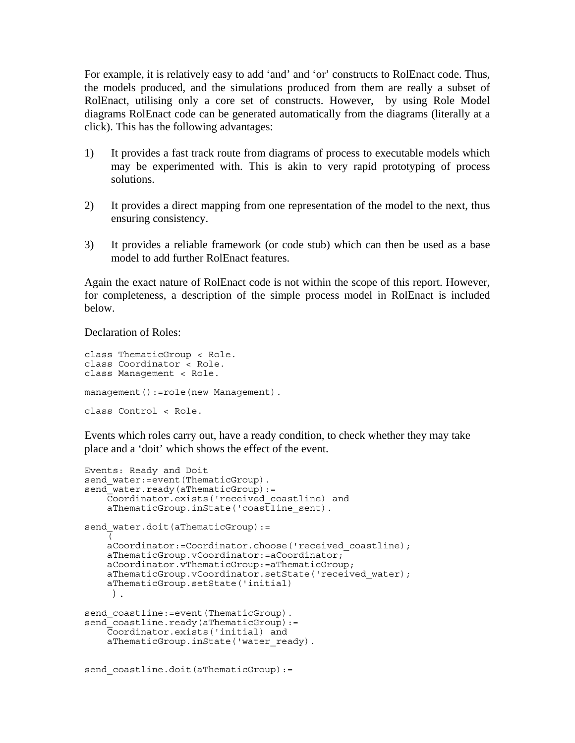For example, it is relatively easy to add 'and' and 'or' constructs to RolEnact code. Thus, the models produced, and the simulations produced from them are really a subset of RolEnact, utilising only a core set of constructs. However, by using Role Model diagrams RolEnact code can be generated automatically from the diagrams (literally at a click). This has the following advantages:

- 1) It provides a fast track route from diagrams of process to executable models which may be experimented with. This is akin to very rapid prototyping of process solutions.
- 2) It provides a direct mapping from one representation of the model to the next, thus ensuring consistency.
- 3) It provides a reliable framework (or code stub) which can then be used as a base model to add further RolEnact features.

Again the exact nature of RolEnact code is not within the scope of this report. However, for completeness, a description of the simple process model in RolEnact is included below.

Declaration of Roles:

```
class ThematicGroup < Role. 
class Coordinator < Role. 
class Management < Role. 
management():=role(new Management).
class Control < Role.
```
Events which roles carry out, have a ready condition, to check whether they may take place and a 'doit' which shows the effect of the event.

```
Events: Ready and Doit 
send water: = event(ThematicGroup).
send_water.ready(aThematicGroup):= 
     Coordinator.exists('received_coastline) and 
    aThematicGroup.inState('coastline sent).
send water.doit(aThematicGroup):=
\overline{\mathcal{C}}aCoordinator:=Coordinator.choose('received coastline);
    aThematicGroup.vCoordinator:=aCoordinator;
     aCoordinator.vThematicGroup:=aThematicGroup; 
    aThematicGroup.vCoordinator.setState('received water);
     aThematicGroup.setState('initial) 
      ). 
send coastline:=event(ThematicGroup).
send<sup>-</sup>coastline.ready(aThematicGroup):=
     Coordinator.exists('initial) and 
    aThematicGroup.inState('water ready).
send coastline.doit(aThematicGroup):=
```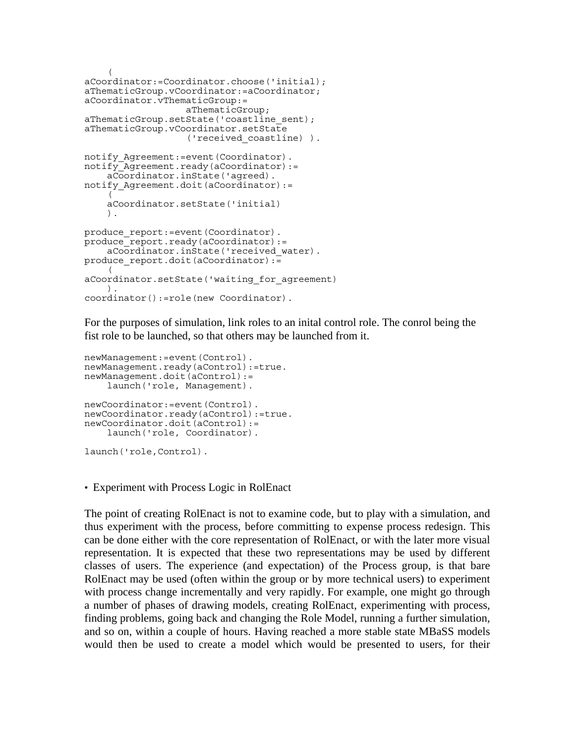```
\overline{a}aCoordinator:=Coordinator.choose('initial); 
aThematicGroup.vCoordinator:=aCoordinator; 
aCoordinator.vThematicGroup:= 
                    aThematicGroup; 
aThematicGroup.setState('coastline sent);
aThematicGroup.vCoordinator.setState 
                     ('received_coastline) ). 
notify Agreement:=event(Coordinator).
notify<sup>-</sup>Agreement.ready(aCoordinator):=
     aCoordinator.inState('agreed). 
notify Agreement.doit(aCoordinator):=
     ( 
     aCoordinator.setState('initial) 
     ). 
produce report:=event(Coordinator).
produce<sup>-</sup>report.ready(aCoordinator):=
     aCoordinator.inState('received_water). 
produce report.doit(aCoordinator):=
     ( 
aCoordinator.setState('waiting_for_agreement) 
     ). 
coordinator():=role(new Coordinator).
```
For the purposes of simulation, link roles to an inital control role. The conrol being the fist role to be launched, so that others may be launched from it.

```
newManagement:=event(Control). 
newManagement.ready(aControl):=true. 
newManagement.doit(aControl):= 
     launch('role, Management). 
newCoordinator:=event(Control). 
newCoordinator.ready(aControl):=true. 
newCoordinator.doit(aControl):= 
     launch('role, Coordinator). 
launch('role,Control).
```
• Experiment with Process Logic in RolEnact

The point of creating RolEnact is not to examine code, but to play with a simulation, and thus experiment with the process, before committing to expense process redesign. This can be done either with the core representation of RolEnact, or with the later more visual representation. It is expected that these two representations may be used by different classes of users. The experience (and expectation) of the Process group, is that bare RolEnact may be used (often within the group or by more technical users) to experiment with process change incrementally and very rapidly. For example, one might go through a number of phases of drawing models, creating RolEnact, experimenting with process, finding problems, going back and changing the Role Model, running a further simulation, and so on, within a couple of hours. Having reached a more stable state MBaSS models would then be used to create a model which would be presented to users, for their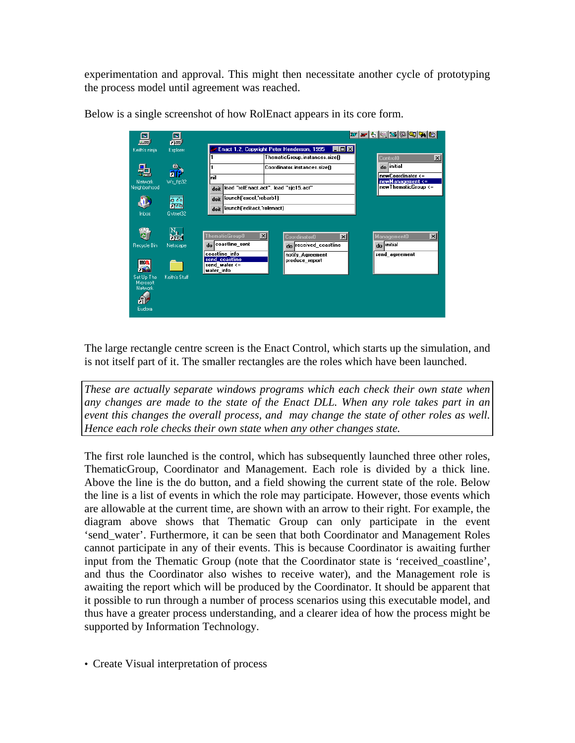experimentation and approval. This might then necessitate another cycle of prototyping the process model until agreement was reached.

| F.<br><i><b>RALLEL</b></i>                                        | 圖<br>不远                            |                                                                                                                    |                                                                                                | <i>e</i> P 5 2 3 0 4 7 6                                              |  |
|-------------------------------------------------------------------|------------------------------------|--------------------------------------------------------------------------------------------------------------------|------------------------------------------------------------------------------------------------|-----------------------------------------------------------------------|--|
| Keith's ninja                                                     | Explorer                           |                                                                                                                    | Enact 1.2, Copyright Peter Henderson, 1995<br>l-I⊡I×I                                          |                                                                       |  |
|                                                                   |                                    |                                                                                                                    | ThematicGroup.instances.size()                                                                 | $\vert x \vert$<br><b>Control0</b>                                    |  |
| 曐                                                                 | ω                                  |                                                                                                                    | Coordinator.instances.size()                                                                   | do initial                                                            |  |
| Network                                                           | ЫF                                 | nil                                                                                                                |                                                                                                | newCoordinator <=<br>newManagement <=                                 |  |
| Neighborhood                                                      | Ws_ftp32                           | doit                                                                                                               | load "rolEnact.act". load "sjc15.act"                                                          |                                                                       |  |
|                                                                   |                                    |                                                                                                                    | llaunch('excel,'rebarb1)<br>doit                                                               |                                                                       |  |
| 츏                                                                 |                                    | launch 'editact,'rolenact)<br>doit                                                                                 |                                                                                                |                                                                       |  |
| Inbox                                                             | Ovthet32                           |                                                                                                                    |                                                                                                |                                                                       |  |
| Recycle Bin<br>m n<br>$-64$<br>Set Up The<br>Microsoft<br>Network | zier.<br>Netscape<br>Keith's Stuff | ⊠<br>ThematicGroup0<br>coastline_sent<br>do<br>coastline info<br>send_coastline<br>send water $\leq$<br>water info | $\vert x \vert$<br>Coordinator0<br>do received_coastline<br>notify Agreement<br>produce report | $\vert x \vert$<br><b>Management0</b><br>do initial<br>send_agreement |  |
| Eudora                                                            |                                    |                                                                                                                    |                                                                                                |                                                                       |  |

Below is a single screenshot of how RolEnact appears in its core form.

The large rectangle centre screen is the Enact Control, which starts up the simulation, and is not itself part of it. The smaller rectangles are the roles which have been launched.

*These are actually separate windows programs which each check their own state when any changes are made to the state of the Enact DLL. When any role takes part in an event this changes the overall process, and may change the state of other roles as well. Hence each role checks their own state when any other changes state.*

The first role launched is the control, which has subsequently launched three other roles, ThematicGroup, Coordinator and Management. Each role is divided by a thick line. Above the line is the do button, and a field showing the current state of the role. Below the line is a list of events in which the role may participate. However, those events which are allowable at the current time, are shown with an arrow to their right. For example, the diagram above shows that Thematic Group can only participate in the event 'send\_water'. Furthermore, it can be seen that both Coordinator and Management Roles cannot participate in any of their events. This is because Coordinator is awaiting further input from the Thematic Group (note that the Coordinator state is 'received\_coastline', and thus the Coordinator also wishes to receive water), and the Management role is awaiting the report which will be produced by the Coordinator. It should be apparent that it possible to run through a number of process scenarios using this executable model, and thus have a greater process understanding, and a clearer idea of how the process might be supported by Information Technology.

• Create Visual interpretation of process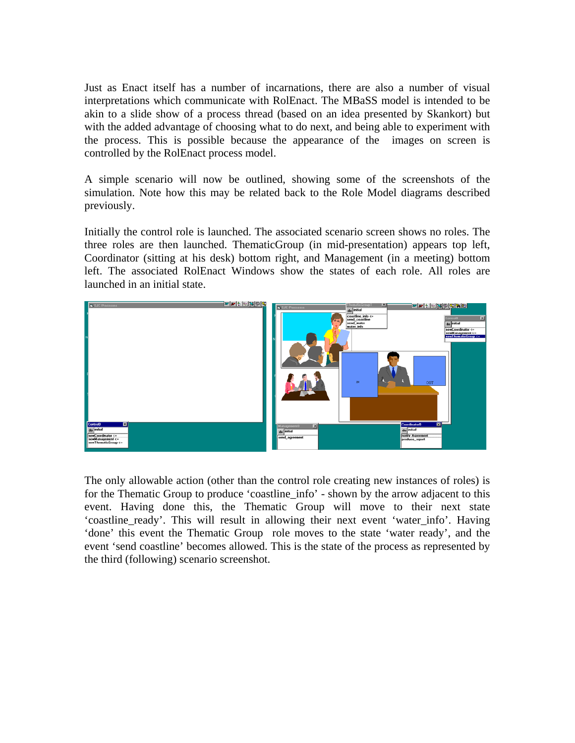Just as Enact itself has a number of incarnations, there are also a number of visual interpretations which communicate with RolEnact. The MBaSS model is intended to be akin to a slide show of a process thread (based on an idea presented by Skankort) but with the added advantage of choosing what to do next, and being able to experiment with the process. This is possible because the appearance of the images on screen is controlled by the RolEnact process model.

A simple scenario will now be outlined, showing some of the screenshots of the simulation. Note how this may be related back to the Role Model diagrams described previously.

Initially the control role is launched. The associated scenario screen shows no roles. The three roles are then launched. ThematicGroup (in mid-presentation) appears top left, Coordinator (sitting at his desk) bottom right, and Management (in a meeting) bottom left. The associated RolEnact Windows show the states of each role. All roles are launched in an initial state.



The only allowable action (other than the control role creating new instances of roles) is for the Thematic Group to produce 'coastline\_info' - shown by the arrow adjacent to this event. Having done this, the Thematic Group will move to their next state 'coastline\_ready'. This will result in allowing their next event 'water\_info'. Having 'done' this event the Thematic Group role moves to the state 'water ready', and the event 'send coastline' becomes allowed. This is the state of the process as represented by the third (following) scenario screenshot.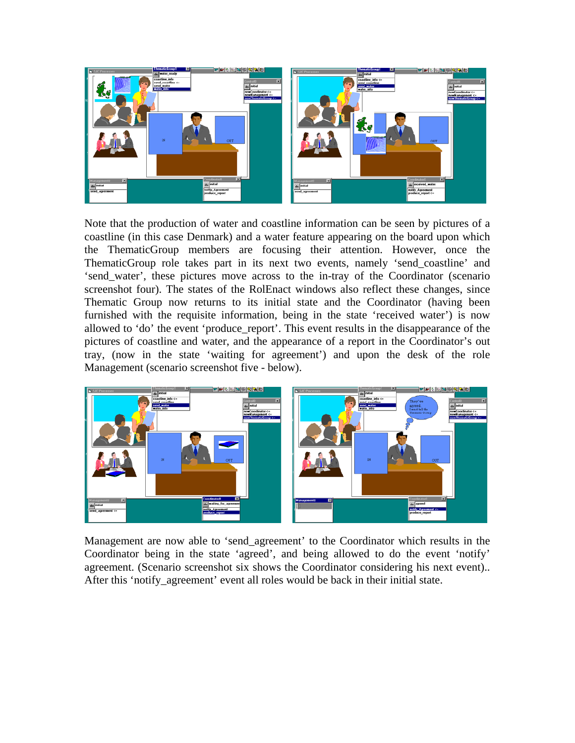

Note that the production of water and coastline information can be seen by pictures of a coastline (in this case Denmark) and a water feature appearing on the board upon which the ThematicGroup members are focusing their attention. However, once the ThematicGroup role takes part in its next two events, namely 'send\_coastline' and 'send\_water', these pictures move across to the in-tray of the Coordinator (scenario screenshot four). The states of the RolEnact windows also reflect these changes, since Thematic Group now returns to its initial state and the Coordinator (having been furnished with the requisite information, being in the state 'received water') is now allowed to 'do' the event 'produce\_report'. This event results in the disappearance of the pictures of coastline and water, and the appearance of a report in the Coordinator's out tray, (now in the state 'waiting for agreement') and upon the desk of the role Management (scenario screenshot five - below).



Management are now able to 'send\_agreement' to the Coordinator which results in the Coordinator being in the state 'agreed', and being allowed to do the event 'notify' agreement. (Scenario screenshot six shows the Coordinator considering his next event).. After this 'notify agreement' event all roles would be back in their initial state.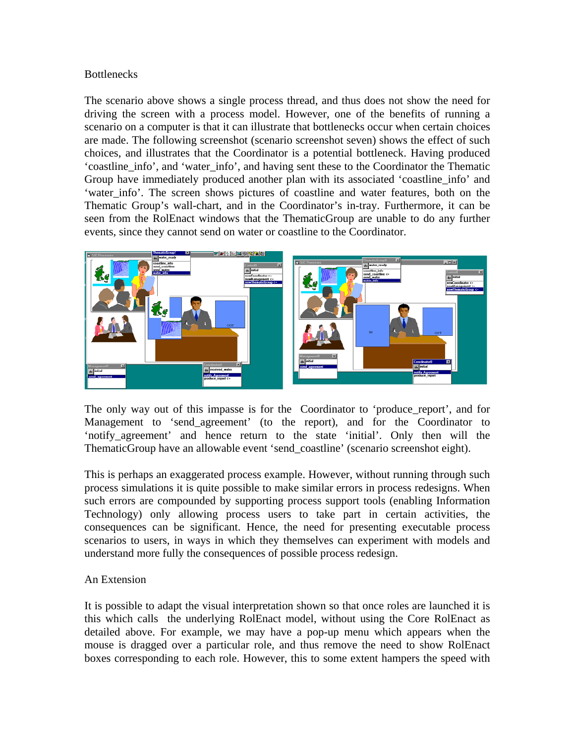# **Bottlenecks**

The scenario above shows a single process thread, and thus does not show the need for driving the screen with a process model. However, one of the benefits of running a scenario on a computer is that it can illustrate that bottlenecks occur when certain choices are made. The following screenshot (scenario screenshot seven) shows the effect of such choices, and illustrates that the Coordinator is a potential bottleneck. Having produced 'coastline\_info', and 'water\_info', and having sent these to the Coordinator the Thematic Group have immediately produced another plan with its associated 'coastline\_info' and 'water info'. The screen shows pictures of coastline and water features, both on the Thematic Group's wall-chart, and in the Coordinator's in-tray. Furthermore, it can be seen from the RolEnact windows that the ThematicGroup are unable to do any further events, since they cannot send on water or coastline to the Coordinator.



The only way out of this impasse is for the Coordinator to 'produce\_report', and for Management to 'send\_agreement' (to the report), and for the Coordinator to 'notify\_agreement' and hence return to the state 'initial'. Only then will the ThematicGroup have an allowable event 'send\_coastline' (scenario screenshot eight).

This is perhaps an exaggerated process example. However, without running through such process simulations it is quite possible to make similar errors in process redesigns. When such errors are compounded by supporting process support tools (enabling Information Technology) only allowing process users to take part in certain activities, the consequences can be significant. Hence, the need for presenting executable process scenarios to users, in ways in which they themselves can experiment with models and understand more fully the consequences of possible process redesign.

## An Extension

It is possible to adapt the visual interpretation shown so that once roles are launched it is this which calls the underlying RolEnact model, without using the Core RolEnact as detailed above. For example, we may have a pop-up menu which appears when the mouse is dragged over a particular role, and thus remove the need to show RolEnact boxes corresponding to each role. However, this to some extent hampers the speed with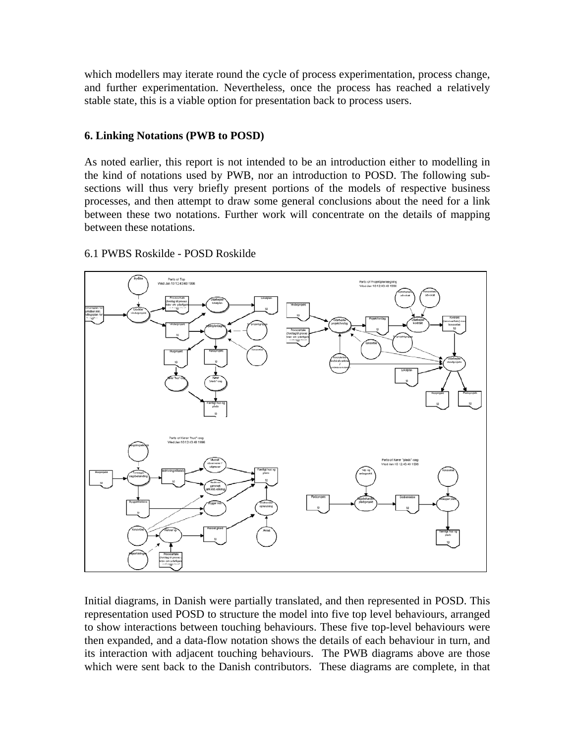which modellers may iterate round the cycle of process experimentation, process change, and further experimentation. Nevertheless, once the process has reached a relatively stable state, this is a viable option for presentation back to process users.

## **6. Linking Notations (PWB to POSD)**

As noted earlier, this report is not intended to be an introduction either to modelling in the kind of notations used by PWB, nor an introduction to POSD. The following subsections will thus very briefly present portions of the models of respective business processes, and then attempt to draw some general conclusions about the need for a link between these two notations. Further work will concentrate on the details of mapping between these notations.



## 6.1 PWBS Roskilde - POSD Roskilde

Initial diagrams, in Danish were partially translated, and then represented in POSD. This representation used POSD to structure the model into five top level behaviours, arranged to show interactions between touching behaviours. These five top-level behaviours were then expanded, and a data-flow notation shows the details of each behaviour in turn, and its interaction with adjacent touching behaviours. The PWB diagrams above are those which were sent back to the Danish contributors. These diagrams are complete, in that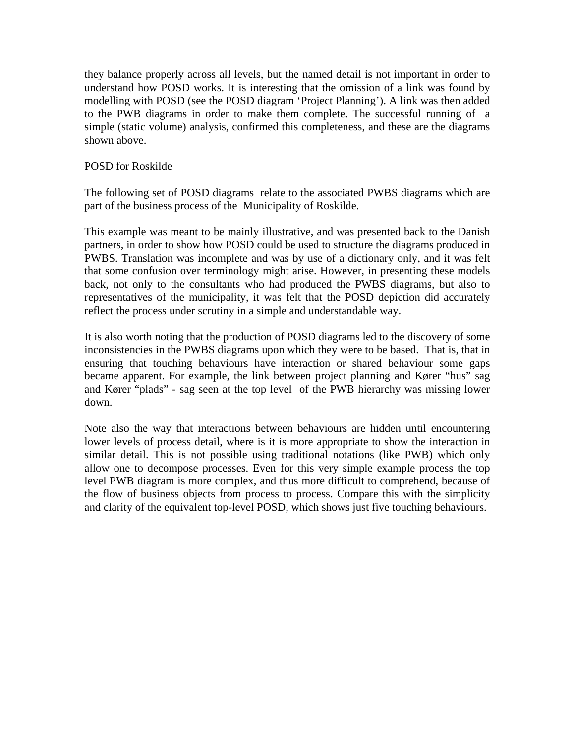they balance properly across all levels, but the named detail is not important in order to understand how POSD works. It is interesting that the omission of a link was found by modelling with POSD (see the POSD diagram 'Project Planning'). A link was then added to the PWB diagrams in order to make them complete. The successful running of a simple (static volume) analysis, confirmed this completeness, and these are the diagrams shown above.

#### POSD for Roskilde

The following set of POSD diagrams relate to the associated PWBS diagrams which are part of the business process of the Municipality of Roskilde.

This example was meant to be mainly illustrative, and was presented back to the Danish partners, in order to show how POSD could be used to structure the diagrams produced in PWBS. Translation was incomplete and was by use of a dictionary only, and it was felt that some confusion over terminology might arise. However, in presenting these models back, not only to the consultants who had produced the PWBS diagrams, but also to representatives of the municipality, it was felt that the POSD depiction did accurately reflect the process under scrutiny in a simple and understandable way.

It is also worth noting that the production of POSD diagrams led to the discovery of some inconsistencies in the PWBS diagrams upon which they were to be based. That is, that in ensuring that touching behaviours have interaction or shared behaviour some gaps became apparent. For example, the link between project planning and Kører "hus" sag and Kører "plads" - sag seen at the top level of the PWB hierarchy was missing lower down.

Note also the way that interactions between behaviours are hidden until encountering lower levels of process detail, where is it is more appropriate to show the interaction in similar detail. This is not possible using traditional notations (like PWB) which only allow one to decompose processes. Even for this very simple example process the top level PWB diagram is more complex, and thus more difficult to comprehend, because of the flow of business objects from process to process. Compare this with the simplicity and clarity of the equivalent top-level POSD, which shows just five touching behaviours.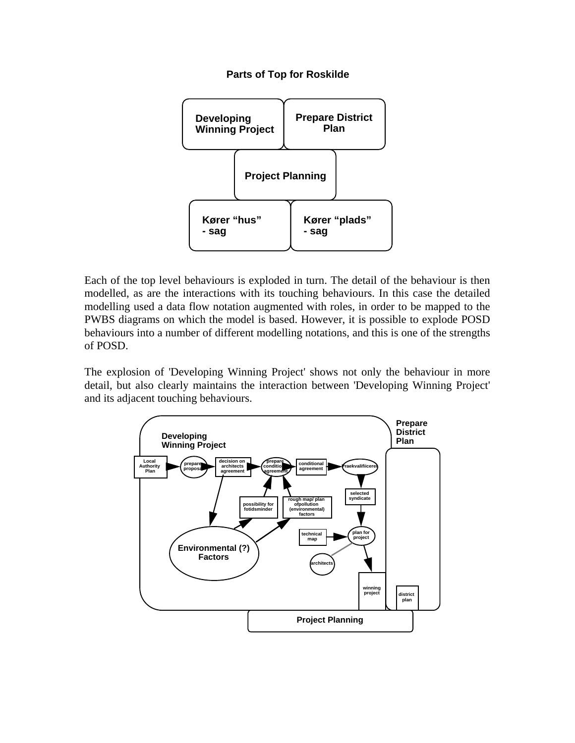#### **Parts of Top for Roskilde**



Each of the top level behaviours is exploded in turn. The detail of the behaviour is then modelled, as are the interactions with its touching behaviours. In this case the detailed modelling used a data flow notation augmented with roles, in order to be mapped to the PWBS diagrams on which the model is based. However, it is possible to explode POSD behaviours into a number of different modelling notations, and this is one of the strengths of POSD.

The explosion of 'Developing Winning Project' shows not only the behaviour in more detail, but also clearly maintains the interaction between 'Developing Winning Project' and its adjacent touching behaviours.

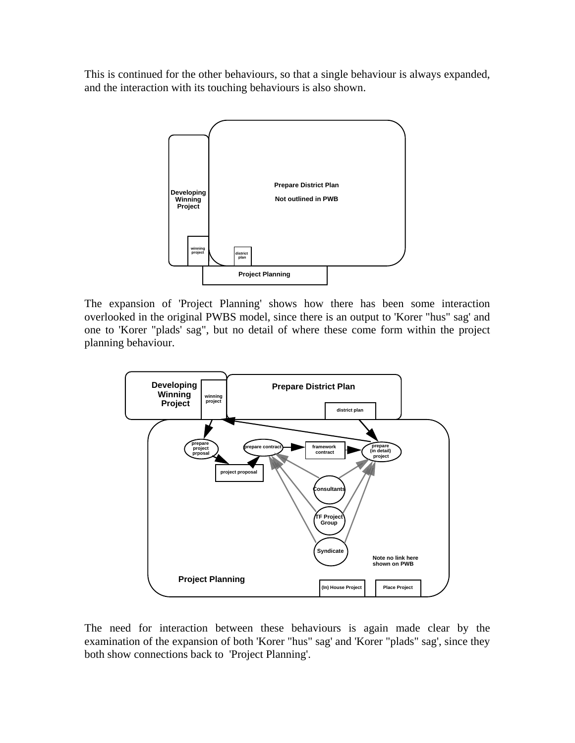This is continued for the other behaviours, so that a single behaviour is always expanded, and the interaction with its touching behaviours is also shown.



The expansion of 'Project Planning' shows how there has been some interaction overlooked in the original PWBS model, since there is an output to 'Korer "hus" sag' and one to 'Korer "plads' sag", but no detail of where these come form within the project planning behaviour.



The need for interaction between these behaviours is again made clear by the examination of the expansion of both 'Korer "hus" sag' and 'Korer "plads" sag', since they both show connections back to 'Project Planning'.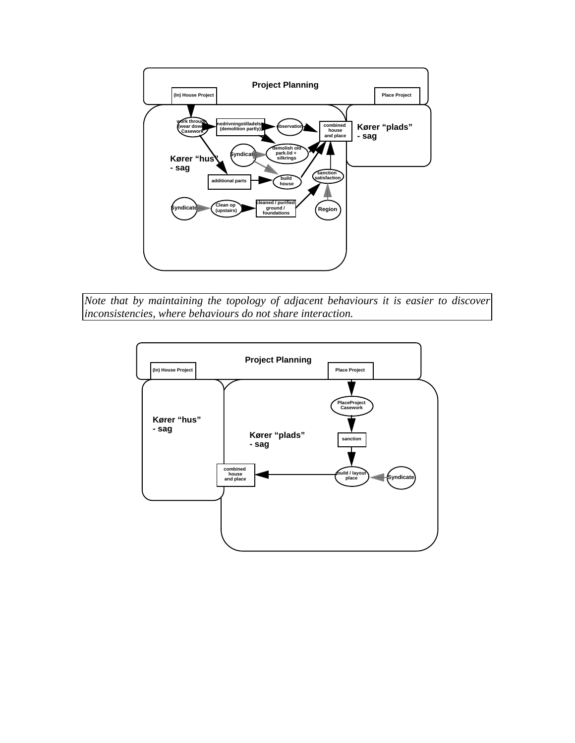

*Note that by maintaining the topology of adjacent behaviours it is easier to discover inconsistencies, where behaviours do not share interaction.* 

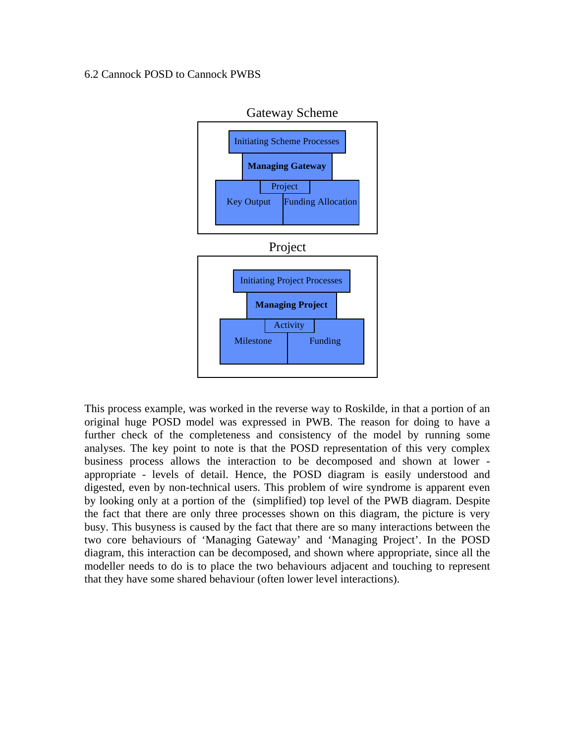# 6.2 Cannock POSD to Cannock PWBS



This process example, was worked in the reverse way to Roskilde, in that a portion of an original huge POSD model was expressed in PWB. The reason for doing to have a further check of the completeness and consistency of the model by running some analyses. The key point to note is that the POSD representation of this very complex business process allows the interaction to be decomposed and shown at lower appropriate - levels of detail. Hence, the POSD diagram is easily understood and digested, even by non-technical users. This problem of wire syndrome is apparent even by looking only at a portion of the (simplified) top level of the PWB diagram. Despite the fact that there are only three processes shown on this diagram, the picture is very busy. This busyness is caused by the fact that there are so many interactions between the two core behaviours of 'Managing Gateway' and 'Managing Project'. In the POSD diagram, this interaction can be decomposed, and shown where appropriate, since all the modeller needs to do is to place the two behaviours adjacent and touching to represent that they have some shared behaviour (often lower level interactions).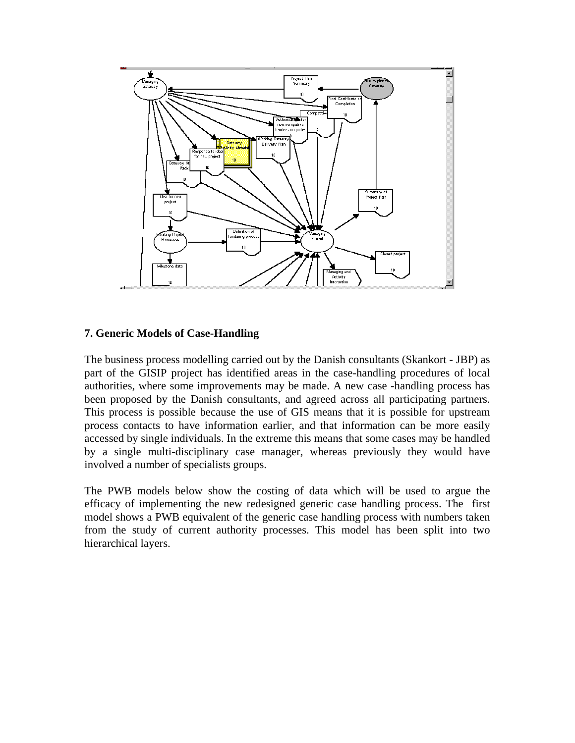

## **7. Generic Models of Case-Handling**

The business process modelling carried out by the Danish consultants (Skankort - JBP) as part of the GISIP project has identified areas in the case-handling procedures of local authorities, where some improvements may be made. A new case -handling process has been proposed by the Danish consultants, and agreed across all participating partners. This process is possible because the use of GIS means that it is possible for upstream process contacts to have information earlier, and that information can be more easily accessed by single individuals. In the extreme this means that some cases may be handled by a single multi-disciplinary case manager, whereas previously they would have involved a number of specialists groups.

The PWB models below show the costing of data which will be used to argue the efficacy of implementing the new redesigned generic case handling process. The first model shows a PWB equivalent of the generic case handling process with numbers taken from the study of current authority processes. This model has been split into two hierarchical layers.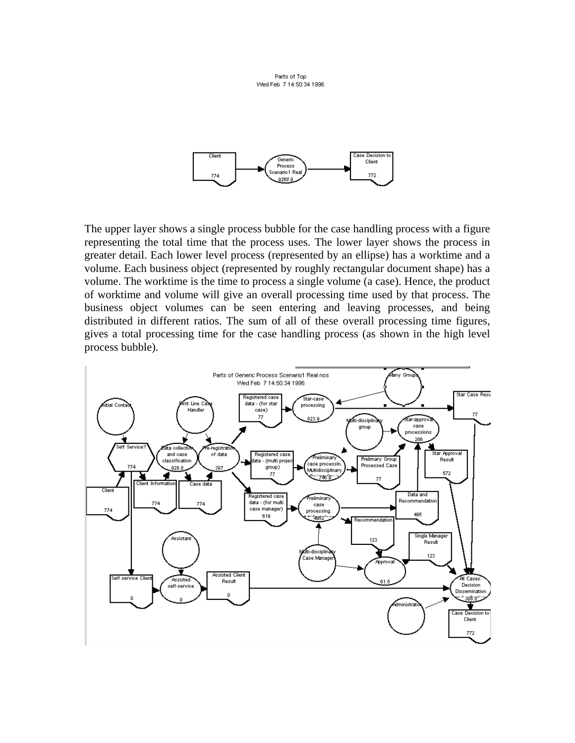Parts of Top Wed Feb 7 14:50:34 1996



The upper layer shows a single process bubble for the case handling process with a figure representing the total time that the process uses. The lower layer shows the process in greater detail. Each lower level process (represented by an ellipse) has a worktime and a volume. Each business object (represented by roughly rectangular document shape) has a volume. The worktime is the time to process a single volume (a case). Hence, the product of worktime and volume will give an overall processing time used by that process. The business object volumes can be seen entering and leaving processes, and being distributed in different ratios. The sum of all of these overall processing time figures, gives a total processing time for the case handling process (as shown in the high level process bubble).

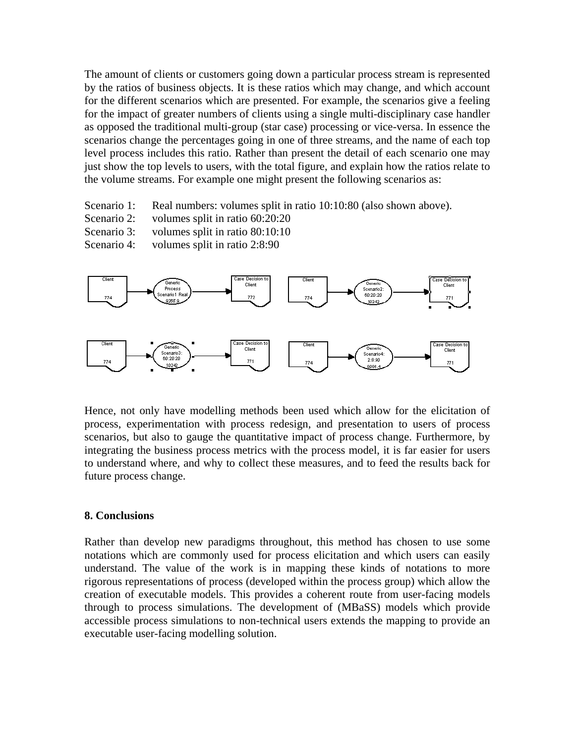The amount of clients or customers going down a particular process stream is represented by the ratios of business objects. It is these ratios which may change, and which account for the different scenarios which are presented. For example, the scenarios give a feeling for the impact of greater numbers of clients using a single multi-disciplinary case handler as opposed the traditional multi-group (star case) processing or vice-versa. In essence the scenarios change the percentages going in one of three streams, and the name of each top level process includes this ratio. Rather than present the detail of each scenario one may just show the top levels to users, with the total figure, and explain how the ratios relate to the volume streams. For example one might present the following scenarios as:

- Scenario 1: Real numbers: volumes split in ratio 10:10:80 (also shown above).
- Scenario 2: volumes split in ratio 60:20:20
- Scenario 3: volumes split in ratio 80:10:10
- Scenario 4: volumes split in ratio 2:8:90



Hence, not only have modelling methods been used which allow for the elicitation of process, experimentation with process redesign, and presentation to users of process scenarios, but also to gauge the quantitative impact of process change. Furthermore, by integrating the business process metrics with the process model, it is far easier for users to understand where, and why to collect these measures, and to feed the results back for future process change.

#### **8. Conclusions**

Rather than develop new paradigms throughout, this method has chosen to use some notations which are commonly used for process elicitation and which users can easily understand. The value of the work is in mapping these kinds of notations to more rigorous representations of process (developed within the process group) which allow the creation of executable models. This provides a coherent route from user-facing models through to process simulations. The development of (MBaSS) models which provide accessible process simulations to non-technical users extends the mapping to provide an executable user-facing modelling solution.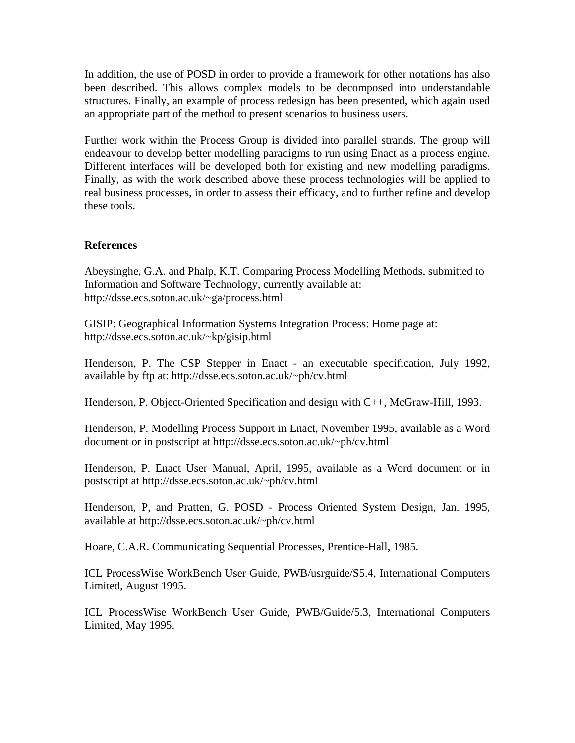In addition, the use of POSD in order to provide a framework for other notations has also been described. This allows complex models to be decomposed into understandable structures. Finally, an example of process redesign has been presented, which again used an appropriate part of the method to present scenarios to business users.

Further work within the Process Group is divided into parallel strands. The group will endeavour to develop better modelling paradigms to run using Enact as a process engine. Different interfaces will be developed both for existing and new modelling paradigms. Finally, as with the work described above these process technologies will be applied to real business processes, in order to assess their efficacy, and to further refine and develop these tools.

# **References**

Abeysinghe, G.A. and Phalp, K.T. Comparing Process Modelling Methods, submitted to Information and Software Technology, currently available at: http://dsse.ecs.soton.ac.uk/~ga/process.html

GISIP: Geographical Information Systems Integration Process: Home page at: http://dsse.ecs.soton.ac.uk/~kp/gisip.html

Henderson, P. The CSP Stepper in Enact - an executable specification, July 1992, available by ftp at: http://dsse.ecs.soton.ac.uk/~ph/cv.html

Henderson, P. Object-Oriented Specification and design with C++, McGraw-Hill, 1993.

Henderson, P. Modelling Process Support in Enact, November 1995, available as a Word document or in postscript at http://dsse.ecs.soton.ac.uk/~ph/cv.html

Henderson, P. Enact User Manual, April, 1995, available as a Word document or in postscript at http://dsse.ecs.soton.ac.uk/~ph/cv.html

Henderson, P, and Pratten, G. POSD - Process Oriented System Design, Jan. 1995, available at http://dsse.ecs.soton.ac.uk/~ph/cv.html

Hoare, C.A.R. Communicating Sequential Processes, Prentice-Hall, 1985.

ICL ProcessWise WorkBench User Guide, PWB/usrguide/S5.4, International Computers Limited, August 1995.

ICL ProcessWise WorkBench User Guide, PWB/Guide/5.3, International Computers Limited, May 1995.